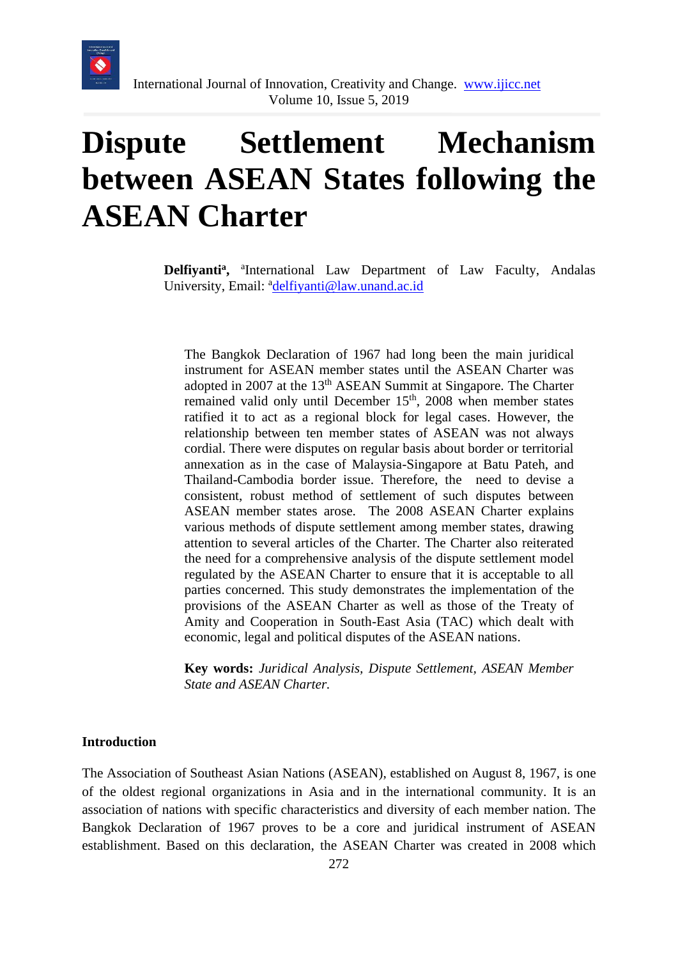

# **Dispute Settlement Mechanism between ASEAN States following the ASEAN Charter**

Delfiyanti<sup>a</sup>, <sup>a</sup>International Law Department of Law Faculty, Andalas University, Email: <sup>a</sup>[delfiyanti@law.unand.ac.id](mailto:delfiyanti@law.unand.ac.id)

The Bangkok Declaration of 1967 had long been the main juridical instrument for ASEAN member states until the ASEAN Charter was adopted in 2007 at the 13<sup>th</sup> ASEAN Summit at Singapore. The Charter remained valid only until December  $15<sup>th</sup>$ , 2008 when member states ratified it to act as a regional block for legal cases. However, the relationship between ten member states of ASEAN was not always cordial. There were disputes on regular basis about border or territorial annexation as in the case of Malaysia-Singapore at Batu Pateh, and Thailand-Cambodia border issue. Therefore, the need to devise a consistent, robust method of settlement of such disputes between ASEAN member states arose. The 2008 ASEAN Charter explains various methods of dispute settlement among member states, drawing attention to several articles of the Charter. The Charter also reiterated the need for a comprehensive analysis of the dispute settlement model regulated by the ASEAN Charter to ensure that it is acceptable to all parties concerned. This study demonstrates the implementation of the provisions of the ASEAN Charter as well as those of the Treaty of Amity and Cooperation in South-East Asia (TAC) which dealt with economic, legal and political disputes of the ASEAN nations.

**Key words:** *Juridical Analysis, Dispute Settlement, ASEAN Member State and ASEAN Charter.*

#### **Introduction**

The Association of Southeast Asian Nations (ASEAN), established on August 8, 1967, is one of the oldest regional organizations in Asia and in the international community. It is an association of nations with specific characteristics and diversity of each member nation. The Bangkok Declaration of 1967 proves to be a core and juridical instrument of ASEAN establishment. Based on this declaration, the ASEAN Charter was created in 2008 which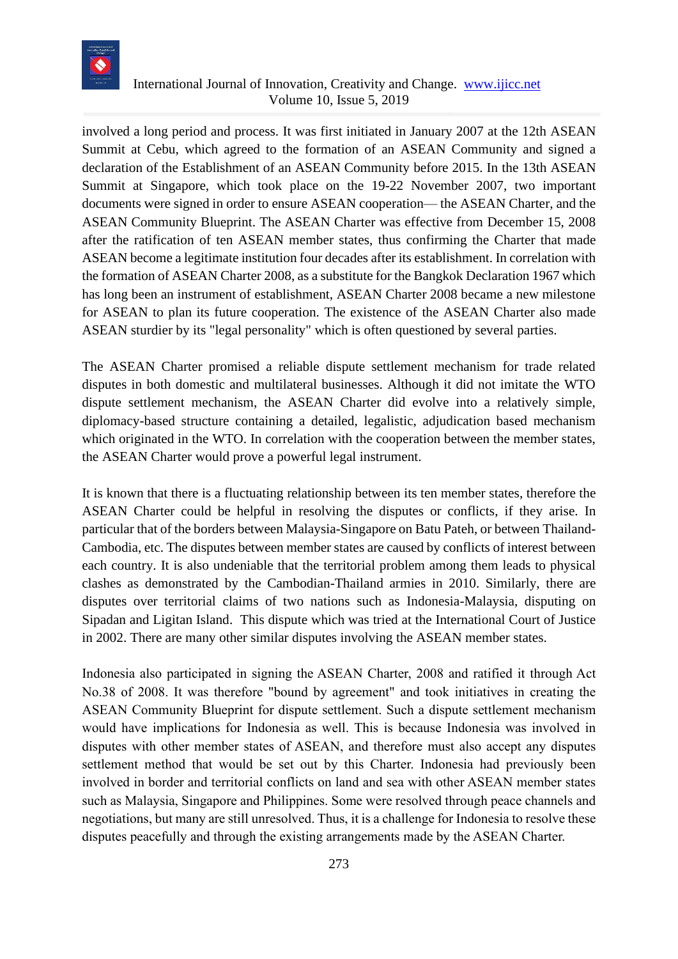

involved a long period and process. It was first initiated in January 2007 at the 12th ASEAN Summit at Cebu, which agreed to the formation of an ASEAN Community and signed a declaration of the Establishment of an ASEAN Community before 2015. In the 13th ASEAN Summit at Singapore, which took place on the 19-22 November 2007, two important documents were signed in order to ensure ASEAN cooperation— the ASEAN Charter, and the ASEAN Community Blueprint. The ASEAN Charter was effective from December 15, 2008 after the ratification of ten ASEAN member states, thus confirming the Charter that made ASEAN become a legitimate institution four decades after its establishment. In correlation with the formation of ASEAN Charter 2008, as a substitute for the Bangkok Declaration 1967 which has long been an instrument of establishment, ASEAN Charter 2008 became a new milestone for ASEAN to plan its future cooperation. The existence of the ASEAN Charter also made ASEAN sturdier by its "legal personality" which is often questioned by several parties.

The ASEAN Charter promised a reliable dispute settlement mechanism for trade related disputes in both domestic and multilateral businesses. Although it did not imitate the WTO dispute settlement mechanism, the ASEAN Charter did evolve into a relatively simple, diplomacy-based structure containing a detailed, legalistic, adjudication based mechanism which originated in the WTO. In correlation with the cooperation between the member states, the ASEAN Charter would prove a powerful legal instrument.

It is known that there is a fluctuating relationship between its ten member states, therefore the ASEAN Charter could be helpful in resolving the disputes or conflicts, if they arise. In particular that of the borders between Malaysia-Singapore on Batu Pateh, or between Thailand-Cambodia, etc. The disputes between member states are caused by conflicts of interest between each country. It is also undeniable that the territorial problem among them leads to physical clashes as demonstrated by the Cambodian-Thailand armies in 2010. Similarly, there are disputes over territorial claims of two nations such as Indonesia-Malaysia, disputing on Sipadan and Ligitan Island. This dispute which was tried at the International Court of Justice in 2002. There are many other similar disputes involving the ASEAN member states.

Indonesia also participated in signing the ASEAN Charter, 2008 and ratified it through Act No.38 of 2008. It was therefore "bound by agreement" and took initiatives in creating the ASEAN Community Blueprint for dispute settlement. Such a dispute settlement mechanism would have implications for Indonesia as well. This is because Indonesia was involved in disputes with other member states of ASEAN, and therefore must also accept any disputes settlement method that would be set out by this Charter. Indonesia had previously been involved in border and territorial conflicts on land and sea with other ASEAN member states such as Malaysia, Singapore and Philippines. Some were resolved through peace channels and negotiations, but many are still unresolved. Thus, it is a challenge for Indonesia to resolve these disputes peacefully and through the existing arrangements made by the ASEAN Charter.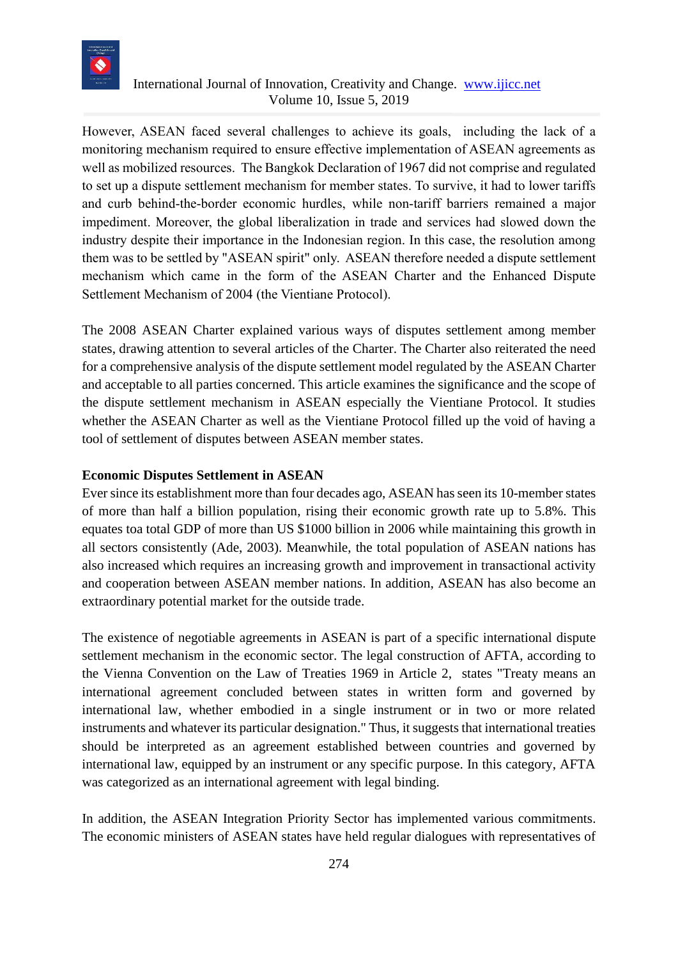

However, ASEAN faced several challenges to achieve its goals, including the lack of a monitoring mechanism required to ensure effective implementation of ASEAN agreements as well as mobilized resources. The Bangkok Declaration of 1967 did not comprise and regulated to set up a dispute settlement mechanism for member states. To survive, it had to lower tariffs and curb behind-the-border economic hurdles, while non-tariff barriers remained a major impediment. Moreover, the global liberalization in trade and services had slowed down the industry despite their importance in the Indonesian region. In this case, the resolution among them was to be settled by "ASEAN spirit" only. ASEAN therefore needed a dispute settlement mechanism which came in the form of the ASEAN Charter and the Enhanced Dispute Settlement Mechanism of 2004 (the Vientiane Protocol).

The 2008 ASEAN Charter explained various ways of disputes settlement among member states, drawing attention to several articles of the Charter. The Charter also reiterated the need for a comprehensive analysis of the dispute settlement model regulated by the ASEAN Charter and acceptable to all parties concerned. This article examines the significance and the scope of the dispute settlement mechanism in ASEAN especially the Vientiane Protocol. It studies whether the ASEAN Charter as well as the Vientiane Protocol filled up the void of having a tool of settlement of disputes between ASEAN member states.

#### **Economic Disputes Settlement in ASEAN**

Ever since its establishment more than four decades ago, ASEAN has seen its 10-member states of more than half a billion population, rising their economic growth rate up to 5.8%. This equates toa total GDP of more than US \$1000 billion in 2006 while maintaining this growth in all sectors consistently (Ade, 2003). Meanwhile, the total population of ASEAN nations has also increased which requires an increasing growth and improvement in transactional activity and cooperation between ASEAN member nations. In addition, ASEAN has also become an extraordinary potential market for the outside trade.

The existence of negotiable agreements in ASEAN is part of a specific international dispute settlement mechanism in the economic sector. The legal construction of AFTA, according to the Vienna Convention on the Law of Treaties 1969 in Article 2, states "Treaty means an international agreement concluded between states in written form and governed by international law, whether embodied in a single instrument or in two or more related instruments and whatever its particular designation." Thus, it suggests that international treaties should be interpreted as an agreement established between countries and governed by international law, equipped by an instrument or any specific purpose. In this category, AFTA was categorized as an international agreement with legal binding.

In addition, the ASEAN Integration Priority Sector has implemented various commitments. The economic ministers of ASEAN states have held regular dialogues with representatives of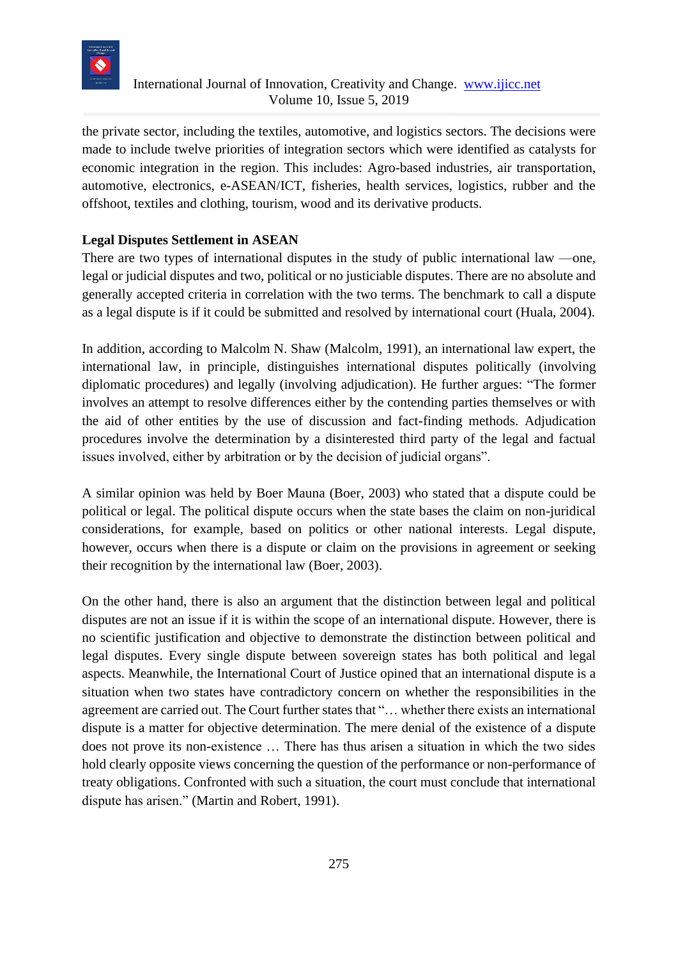

the private sector, including the textiles, automotive, and logistics sectors. The decisions were made to include twelve priorities of integration sectors which were identified as catalysts for economic integration in the region. This includes: Agro-based industries, air transportation, automotive, electronics, e-ASEAN/ICT, fisheries, health services, logistics, rubber and the offshoot, textiles and clothing, tourism, wood and its derivative products.

# **Legal Disputes Settlement in ASEAN**

There are two types of international disputes in the study of public international law —one, legal or judicial disputes and two, political or no justiciable disputes. There are no absolute and generally accepted criteria in correlation with the two terms. The benchmark to call a dispute as a legal dispute is if it could be submitted and resolved by international court (Huala, 2004).

In addition, according to Malcolm N. Shaw (Malcolm, 1991), an international law expert, the international law, in principle, distinguishes international disputes politically (involving diplomatic procedures) and legally (involving adjudication). He further argues: "The former involves an attempt to resolve differences either by the contending parties themselves or with the aid of other entities by the use of discussion and fact-finding methods. Adjudication procedures involve the determination by a disinterested third party of the legal and factual issues involved, either by arbitration or by the decision of judicial organs".

A similar opinion was held by Boer Mauna (Boer, 2003) who stated that a dispute could be political or legal. The political dispute occurs when the state bases the claim on non-juridical considerations, for example, based on politics or other national interests. Legal dispute, however, occurs when there is a dispute or claim on the provisions in agreement or seeking their recognition by the international law (Boer, 2003).

On the other hand, there is also an argument that the distinction between legal and political disputes are not an issue if it is within the scope of an international dispute. However, there is no scientific justification and objective to demonstrate the distinction between political and legal disputes. Every single dispute between sovereign states has both political and legal aspects. Meanwhile, the International Court of Justice opined that an international dispute is a situation when two states have contradictory concern on whether the responsibilities in the agreement are carried out. The Court further states that "… whether there exists an international dispute is a matter for objective determination. The mere denial of the existence of a dispute does not prove its non-existence … There has thus arisen a situation in which the two sides hold clearly opposite views concerning the question of the performance or non-performance of treaty obligations. Confronted with such a situation, the court must conclude that international dispute has arisen." (Martin and Robert, 1991).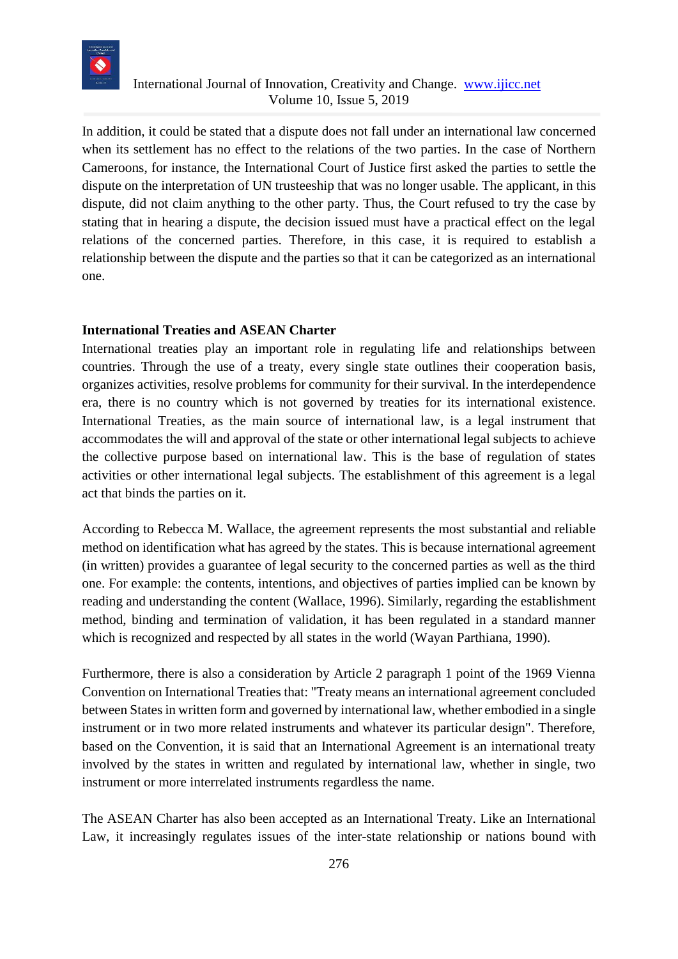

In addition, it could be stated that a dispute does not fall under an international law concerned when its settlement has no effect to the relations of the two parties. In the case of Northern Cameroons, for instance, the International Court of Justice first asked the parties to settle the dispute on the interpretation of UN trusteeship that was no longer usable. The applicant, in this dispute, did not claim anything to the other party. Thus, the Court refused to try the case by stating that in hearing a dispute, the decision issued must have a practical effect on the legal relations of the concerned parties. Therefore, in this case, it is required to establish a relationship between the dispute and the parties so that it can be categorized as an international one.

#### **International Treaties and ASEAN Charter**

International treaties play an important role in regulating life and relationships between countries. Through the use of a treaty, every single state outlines their cooperation basis, organizes activities, resolve problems for community for their survival. In the interdependence era, there is no country which is not governed by treaties for its international existence. International Treaties, as the main source of international law, is a legal instrument that accommodates the will and approval of the state or other international legal subjects to achieve the collective purpose based on international law. This is the base of regulation of states activities or other international legal subjects. The establishment of this agreement is a legal act that binds the parties on it.

According to Rebecca M. Wallace, the agreement represents the most substantial and reliable method on identification what has agreed by the states. This is because international agreement (in written) provides a guarantee of legal security to the concerned parties as well as the third one. For example: the contents, intentions, and objectives of parties implied can be known by reading and understanding the content (Wallace, 1996). Similarly, regarding the establishment method, binding and termination of validation, it has been regulated in a standard manner which is recognized and respected by all states in the world (Wayan Parthiana, 1990).

Furthermore, there is also a consideration by Article 2 paragraph 1 point of the 1969 Vienna Convention on International Treaties that: "Treaty means an international agreement concluded between States in written form and governed by international law, whether embodied in a single instrument or in two more related instruments and whatever its particular design". Therefore, based on the Convention, it is said that an International Agreement is an international treaty involved by the states in written and regulated by international law, whether in single, two instrument or more interrelated instruments regardless the name.

The ASEAN Charter has also been accepted as an International Treaty. Like an International Law, it increasingly regulates issues of the inter-state relationship or nations bound with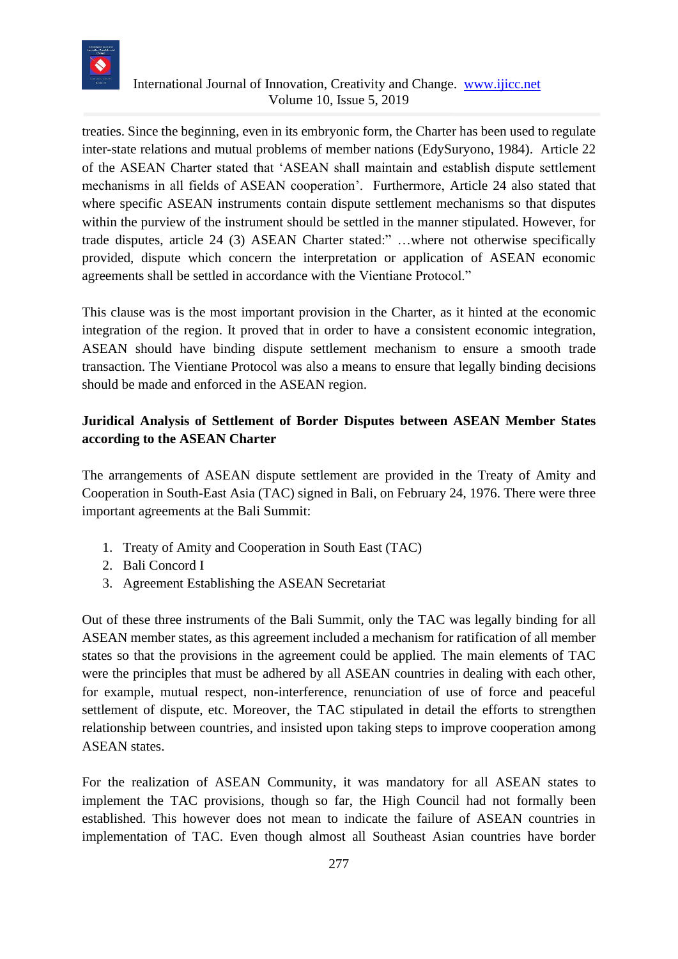

treaties. Since the beginning, even in its embryonic form, the Charter has been used to regulate inter-state relations and mutual problems of member nations (EdySuryono, 1984). Article 22 of the ASEAN Charter stated that 'ASEAN shall maintain and establish dispute settlement mechanisms in all fields of ASEAN cooperation'. Furthermore, Article 24 also stated that where specific ASEAN instruments contain dispute settlement mechanisms so that disputes within the purview of the instrument should be settled in the manner stipulated. However, for trade disputes, article 24 (3) ASEAN Charter stated:" …where not otherwise specifically provided, dispute which concern the interpretation or application of ASEAN economic agreements shall be settled in accordance with the Vientiane Protocol."

This clause was is the most important provision in the Charter, as it hinted at the economic integration of the region. It proved that in order to have a consistent economic integration, ASEAN should have binding dispute settlement mechanism to ensure a smooth trade transaction. The Vientiane Protocol was also a means to ensure that legally binding decisions should be made and enforced in the ASEAN region.

# **Juridical Analysis of Settlement of Border Disputes between ASEAN Member States according to the ASEAN Charter**

The arrangements of ASEAN dispute settlement are provided in the Treaty of Amity and Cooperation in South-East Asia (TAC) signed in Bali, on February 24, 1976. There were three important agreements at the Bali Summit:

- 1. Treaty of Amity and Cooperation in South East (TAC)
- 2. Bali Concord I
- 3. Agreement Establishing the ASEAN Secretariat

Out of these three instruments of the Bali Summit, only the TAC was legally binding for all ASEAN member states, as this agreement included a mechanism for ratification of all member states so that the provisions in the agreement could be applied. The main elements of TAC were the principles that must be adhered by all ASEAN countries in dealing with each other, for example, mutual respect, non-interference, renunciation of use of force and peaceful settlement of dispute, etc. Moreover, the TAC stipulated in detail the efforts to strengthen relationship between countries, and insisted upon taking steps to improve cooperation among ASEAN states.

For the realization of ASEAN Community, it was mandatory for all ASEAN states to implement the TAC provisions, though so far, the High Council had not formally been established. This however does not mean to indicate the failure of ASEAN countries in implementation of TAC. Even though almost all Southeast Asian countries have border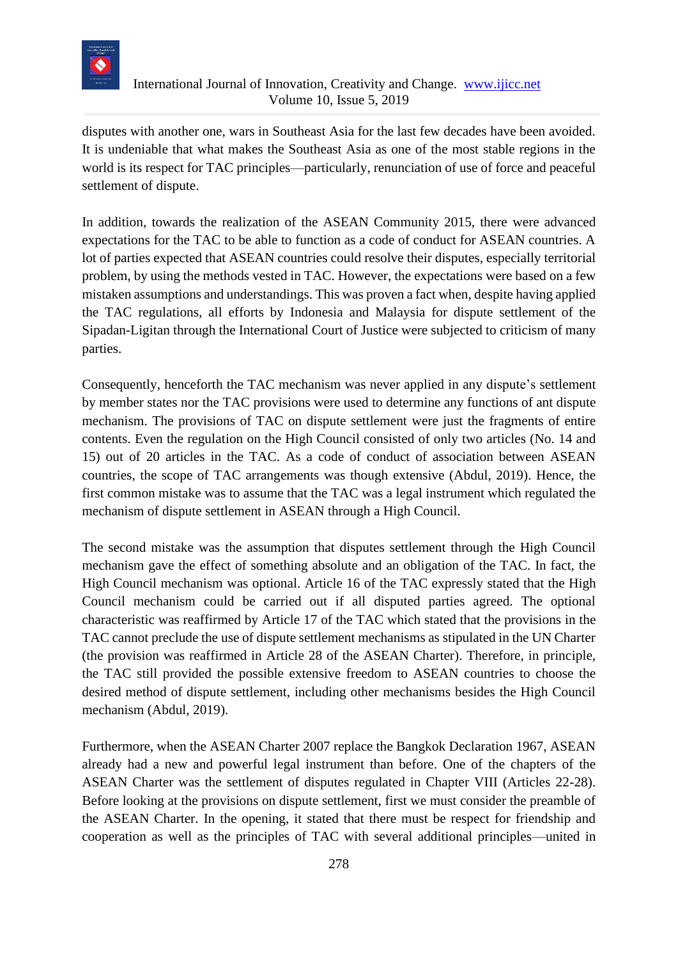

disputes with another one, wars in Southeast Asia for the last few decades have been avoided. It is undeniable that what makes the Southeast Asia as one of the most stable regions in the world is its respect for TAC principles—particularly, renunciation of use of force and peaceful settlement of dispute.

In addition, towards the realization of the ASEAN Community 2015, there were advanced expectations for the TAC to be able to function as a code of conduct for ASEAN countries. A lot of parties expected that ASEAN countries could resolve their disputes, especially territorial problem, by using the methods vested in TAC. However, the expectations were based on a few mistaken assumptions and understandings. This was proven a fact when, despite having applied the TAC regulations, all efforts by Indonesia and Malaysia for dispute settlement of the Sipadan-Ligitan through the International Court of Justice were subjected to criticism of many parties.

Consequently, henceforth the TAC mechanism was never applied in any dispute's settlement by member states nor the TAC provisions were used to determine any functions of ant dispute mechanism. The provisions of TAC on dispute settlement were just the fragments of entire contents. Even the regulation on the High Council consisted of only two articles (No. 14 and 15) out of 20 articles in the TAC. As a code of conduct of association between ASEAN countries, the scope of TAC arrangements was though extensive (Abdul, 2019). Hence, the first common mistake was to assume that the TAC was a legal instrument which regulated the mechanism of dispute settlement in ASEAN through a High Council.

The second mistake was the assumption that disputes settlement through the High Council mechanism gave the effect of something absolute and an obligation of the TAC. In fact, the High Council mechanism was optional. Article 16 of the TAC expressly stated that the High Council mechanism could be carried out if all disputed parties agreed. The optional characteristic was reaffirmed by Article 17 of the TAC which stated that the provisions in the TAC cannot preclude the use of dispute settlement mechanisms as stipulated in the UN Charter (the provision was reaffirmed in Article 28 of the ASEAN Charter). Therefore, in principle, the TAC still provided the possible extensive freedom to ASEAN countries to choose the desired method of dispute settlement, including other mechanisms besides the High Council mechanism (Abdul, 2019).

Furthermore, when the ASEAN Charter 2007 replace the Bangkok Declaration 1967, ASEAN already had a new and powerful legal instrument than before. One of the chapters of the ASEAN Charter was the settlement of disputes regulated in Chapter VIII (Articles 22-28). Before looking at the provisions on dispute settlement, first we must consider the preamble of the ASEAN Charter. In the opening, it stated that there must be respect for friendship and cooperation as well as the principles of TAC with several additional principles—united in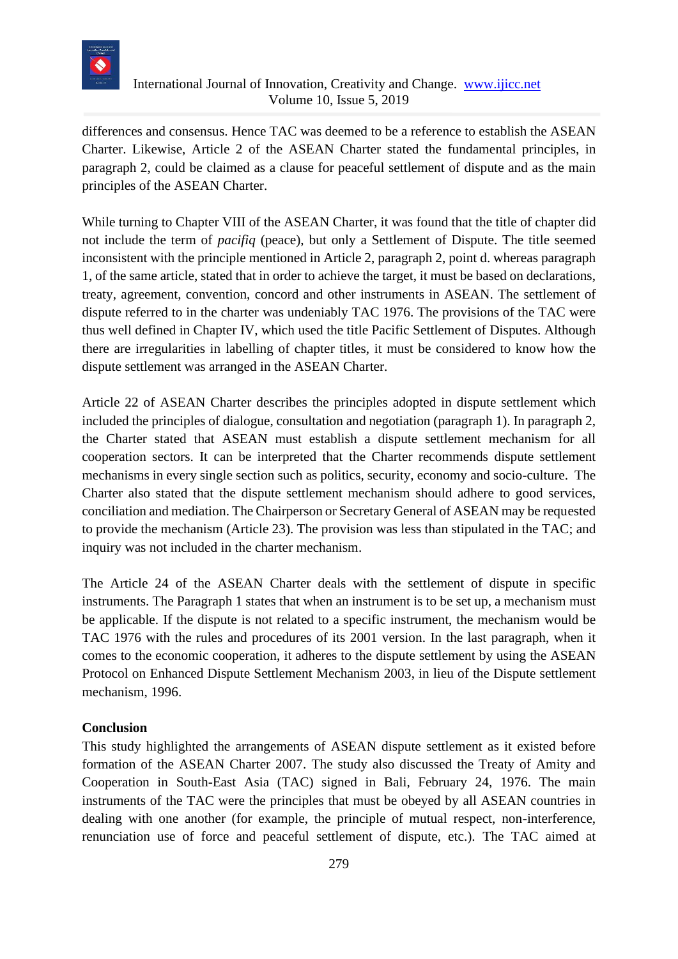

differences and consensus. Hence TAC was deemed to be a reference to establish the ASEAN Charter. Likewise, Article 2 of the ASEAN Charter stated the fundamental principles, in paragraph 2, could be claimed as a clause for peaceful settlement of dispute and as the main principles of the ASEAN Charter.

While turning to Chapter VIII of the ASEAN Charter, it was found that the title of chapter did not include the term of *pacifiq* (peace), but only a Settlement of Dispute. The title seemed inconsistent with the principle mentioned in Article 2, paragraph 2, point d. whereas paragraph 1, of the same article, stated that in order to achieve the target, it must be based on declarations, treaty, agreement, convention, concord and other instruments in ASEAN. The settlement of dispute referred to in the charter was undeniably TAC 1976. The provisions of the TAC were thus well defined in Chapter IV, which used the title Pacific Settlement of Disputes. Although there are irregularities in labelling of chapter titles, it must be considered to know how the dispute settlement was arranged in the ASEAN Charter.

Article 22 of ASEAN Charter describes the principles adopted in dispute settlement which included the principles of dialogue, consultation and negotiation (paragraph 1). In paragraph 2, the Charter stated that ASEAN must establish a dispute settlement mechanism for all cooperation sectors. It can be interpreted that the Charter recommends dispute settlement mechanisms in every single section such as politics, security, economy and socio-culture. The Charter also stated that the dispute settlement mechanism should adhere to good services, conciliation and mediation. The Chairperson or Secretary General of ASEAN may be requested to provide the mechanism (Article 23). The provision was less than stipulated in the TAC; and inquiry was not included in the charter mechanism.

The Article 24 of the ASEAN Charter deals with the settlement of dispute in specific instruments. The Paragraph 1 states that when an instrument is to be set up, a mechanism must be applicable. If the dispute is not related to a specific instrument, the mechanism would be TAC 1976 with the rules and procedures of its 2001 version. In the last paragraph, when it comes to the economic cooperation, it adheres to the dispute settlement by using the ASEAN Protocol on Enhanced Dispute Settlement Mechanism 2003, in lieu of the Dispute settlement mechanism, 1996.

## **Conclusion**

This study highlighted the arrangements of ASEAN dispute settlement as it existed before formation of the ASEAN Charter 2007. The study also discussed the Treaty of Amity and Cooperation in South-East Asia (TAC) signed in Bali, February 24, 1976. The main instruments of the TAC were the principles that must be obeyed by all ASEAN countries in dealing with one another (for example, the principle of mutual respect, non-interference, renunciation use of force and peaceful settlement of dispute, etc.). The TAC aimed at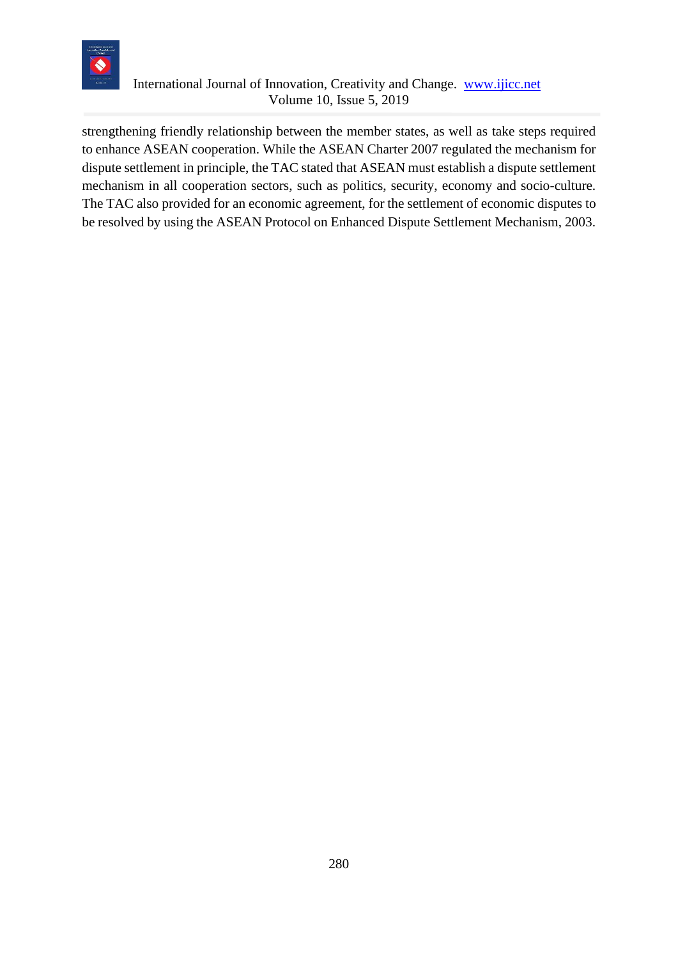

strengthening friendly relationship between the member states, as well as take steps required to enhance ASEAN cooperation. While the ASEAN Charter 2007 regulated the mechanism for dispute settlement in principle, the TAC stated that ASEAN must establish a dispute settlement mechanism in all cooperation sectors, such as politics, security, economy and socio-culture. The TAC also provided for an economic agreement, for the settlement of economic disputes to be resolved by using the ASEAN Protocol on Enhanced Dispute Settlement Mechanism, 2003.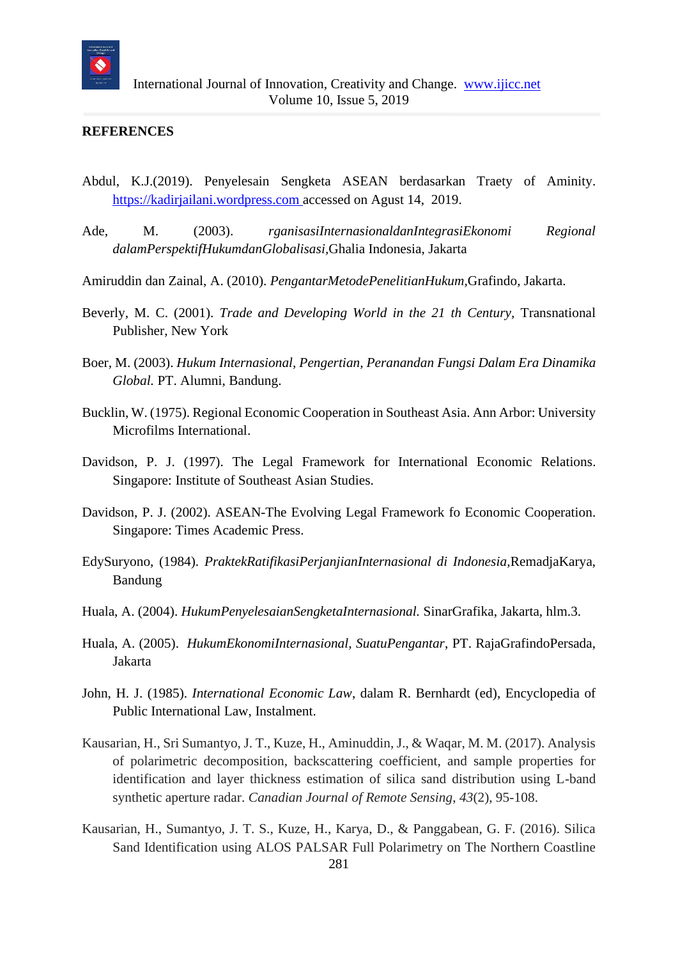

#### **REFERENCES**

- Abdul, K.J.(2019). Penyelesain Sengketa ASEAN berdasarkan Traety of Aminity. [https://kadirjailani.wordpress.com](https://kadirjailani.wordpress.com/) accessed on Agust 14, 2019.
- Ade, M. (2003). *rganisasiInternasionaldanIntegrasiEkonomi Regional dalamPerspektifHukumdanGlobalisasi,*Ghalia Indonesia, Jakarta
- Amiruddin dan Zainal, A. (2010). *PengantarMetodePenelitianHukum,*Grafindo, Jakarta.
- Beverly, M. C. (2001). *Trade and Developing World in the 21 th Century,* Transnational Publisher, New York
- Boer, M. (2003). *Hukum Internasional, Pengertian, Peranandan Fungsi Dalam Era Dinamika Global.* PT. Alumni, Bandung.
- Bucklin, W. (1975). Regional Economic Cooperation in Southeast Asia. Ann Arbor: University Microfilms International.
- Davidson, P. J. (1997). The Legal Framework for International Economic Relations. Singapore: Institute of Southeast Asian Studies.
- Davidson, P. J. (2002). ASEAN-The Evolving Legal Framework fo Economic Cooperation. Singapore: Times Academic Press.
- EdySuryono, (1984). *PraktekRatifikasiPerjanjianInternasional di Indonesia,*RemadjaKarya, Bandung
- Huala, A. (2004). *HukumPenyelesaianSengketaInternasional.* SinarGrafika, Jakarta, hlm.3.
- Huala, A. (2005). *HukumEkonomiInternasional, SuatuPengantar*, PT. RajaGrafindoPersada, Jakarta
- John, H. J. (1985). *International Economic Law*, dalam R. Bernhardt (ed), Encyclopedia of Public International Law, Instalment.
- Kausarian, H., Sri Sumantyo, J. T., Kuze, H., Aminuddin, J., & Waqar, M. M. (2017). Analysis of polarimetric decomposition, backscattering coefficient, and sample properties for identification and layer thickness estimation of silica sand distribution using L-band synthetic aperture radar. *Canadian Journal of Remote Sensing*, *43*(2), 95-108.
- Kausarian, H., Sumantyo, J. T. S., Kuze, H., Karya, D., & Panggabean, G. F. (2016). Silica Sand Identification using ALOS PALSAR Full Polarimetry on The Northern Coastline